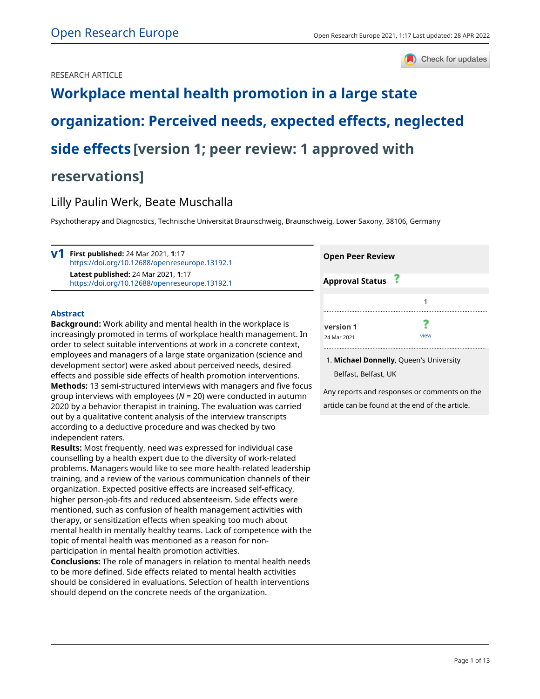# RESEARCH ARTICLE



# **[Workplace mental health promotion in a large state](https://open-research-europe.ec.europa.eu/articles/1-17/v1) [organization: Perceived needs, expected effects, neglected](https://open-research-europe.ec.europa.eu/articles/1-17/v1) [side effects](https://open-research-europe.ec.europa.eu/articles/1-17/v1) [version 1; peer review: 1 approved with reservations]**

# Lilly Paulin Werk, Beate Muschalla

Psychotherapy and Diagnostics, Technische Universität Braunschweig, Braunschweig, Lower Saxony, 38106, Germany

**First published:** 24 Mar 2021, **1**:17 **v1** <https://doi.org/10.12688/openreseurope.13192.1> **Latest published:** 24 Mar 2021, **1**:17 <https://doi.org/10.12688/openreseurope.13192.1>

# **Abstract**

**Background:** Work ability and mental health in the workplace is increasingly promoted in terms of workplace health management. In order to select suitable interventions at work in a concrete context, employees and managers of a large state organization (science and development sector) were asked about perceived needs, desired effects and possible side effects of health promotion interventions. **Methods:** 13 semi-structured interviews with managers and five focus group interviews with employees (*N* = 20) were conducted in autumn 2020 by a behavior therapist in training. The evaluation was carried out by a qualitative content analysis of the interview transcripts according to a deductive procedure and was checked by two independent raters.

**Results:** Most frequently, need was expressed for individual case counselling by a health expert due to the diversity of work-related problems. Managers would like to see more health-related leadership training, and a review of the various communication channels of their organization. Expected positive effects are increased self-efficacy, higher person-job-fits and reduced absenteeism. Side effects were mentioned, such as confusion of health management activities with therapy, or sensitization effects when speaking too much about mental health in mentally healthy teams. Lack of competence with the topic of mental health was mentioned as a reason for nonparticipation in mental health promotion activities.

**Conclusions:** The role of managers in relation to mental health needs to be more defined. Side effects related to mental health activities should be considered in evaluations. Selection of health interventions should depend on the concrete needs of the organization.

| <b>Open Peer Review</b>  |      |  |
|--------------------------|------|--|
| <b>Approval Status</b>   |      |  |
|                          |      |  |
| version 1<br>24 Mar 2021 | view |  |

**Michael Donnelly**, Queen's University 1. Belfast, Belfast, UK

Any reports and responses or comments on the article can be found at the end of the article.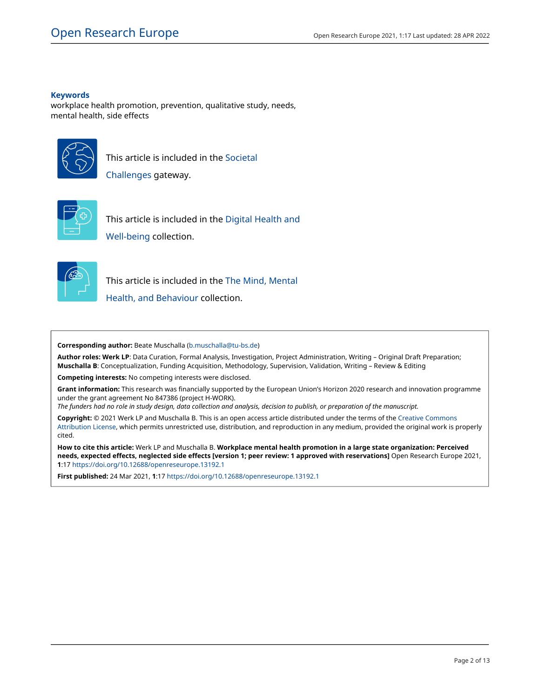# **Keywords**

workplace health promotion, prevention, qualitative study, needs, mental health, side effects



This article is included in the [Societal](https://open-research-europe.ec.europa.eu/gateways/societalchallenges)

[Challenges](https://open-research-europe.ec.europa.eu/gateways/societalchallenges) gateway.



This article is included in the [Digital Health and](https://open-research-europe.ec.europa.eu/collections/digital-health-and-well-being) [Well-being](https://open-research-europe.ec.europa.eu/collections/digital-health-and-well-being) collection.



This article is included in the [The Mind, Mental](https://open-research-europe.ec.europa.eu/collections/the-mind)

[Health, and Behaviour](https://open-research-europe.ec.europa.eu/collections/the-mind) collection.

**Corresponding author:** Beate Muschalla [\(b.muschalla@tu-bs.de](mailto:b.muschalla@tu-bs.de))

**Author roles: Werk LP**: Data Curation, Formal Analysis, Investigation, Project Administration, Writing – Original Draft Preparation; **Muschalla B**: Conceptualization, Funding Acquisition, Methodology, Supervision, Validation, Writing – Review & Editing

**Competing interests:** No competing interests were disclosed.

**Grant information:** This research was financially supported by the European Union's Horizon 2020 research and innovation programme under the grant agreement No 847386 (project H-WORK).

*The funders had no role in study design, data collection and analysis, decision to publish, or preparation of the manuscript.*

**Copyright:** © 2021 Werk LP and Muschalla B. This is an open access article distributed under the terms of the [Creative Commons](http://creativecommons.org/licenses/by/4.0/) [Attribution License,](http://creativecommons.org/licenses/by/4.0/) which permits unrestricted use, distribution, and reproduction in any medium, provided the original work is properly cited.

**How to cite this article:** Werk LP and Muschalla B. **Workplace mental health promotion in a large state organization: Perceived needs, expected effects, neglected side effects [version 1; peer review: 1 approved with reservations]** Open Research Europe 2021, **1**:17 <https://doi.org/10.12688/openreseurope.13192.1>

**First published:** 24 Mar 2021, **1**:17<https://doi.org/10.12688/openreseurope.13192.1>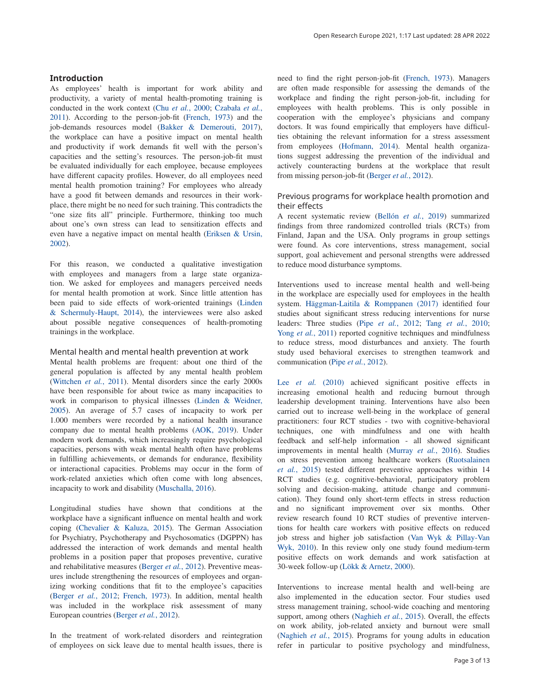# **Introduction**

As employees' health is important for work ability and productivity, a variety of mental health-promoting training is conducted in the work context (Chu *et al.*[, 2000;](#page-9-0) [Czabała](#page-9-0) *et al.*, [2011\)](#page-9-0). According to the person-job-fit [\(French, 1973](#page-9-0)) and the job-demands resources model ([Bakker & Demerouti, 2017](#page-9-0)), the workplace can have a positive impact on mental health and productivity if work demands fit well with the person's capacities and the setting's resources. The person-job-fit must be evaluated individually for each employee, because employees have different capacity profiles. However, do all employees need mental health promotion training? For employees who already have a good fit between demands and resources in their workplace, there might be no need for such training. This contradicts the "one size fits all" principle. Furthermore, thinking too much about one's own stress can lead to sensitization effects and even have a negative impact on mental health [\(Eriksen & Ursin,](#page-9-0)  [2002\)](#page-9-0).

For this reason, we conducted a qualitative investigation with employees and managers from a large state organization. We asked for employees and managers perceived needs for mental health promotion at work. Since little attention has been paid to side effects of work-oriented trainings [\(Linden](#page-9-0)  [& Schermuly-Haupt, 2014](#page-9-0)), the interviewees were also asked about possible negative consequences of health-promoting trainings in the workplace.

Mental health and mental health prevention at work

Mental health problems are frequent: about one third of the general population is affected by any mental health problem ([Wittchen](#page-10-0) *et al.*, 2011). Mental disorders since the early 2000s have been responsible for about twice as many incapacities to work in comparison to physical illnesses ([Linden & Weidner,](#page-9-0)  [2005\)](#page-9-0). An average of 5.7 cases of incapacity to work per 1.000 members were recorded by a national health insurance company due to mental health problems [\(AOK, 2019](#page-9-0)). Under modern work demands, which increasingly require psychological capacities, persons with weak mental health often have problems in fulfilling achievements, or demands for endurance, flexibility or interactional capacities. Problems may occur in the form of work-related anxieties which often come with long absences, incapacity to work and disability ([Muschalla, 2016\)](#page-9-0).

Longitudinal studies have shown that conditions at the workplace have a significant influence on mental health and work coping [\(Chevalier & Kaluza, 2015](#page-9-0)). The German Association for Psychiatry, Psychotherapy and Psychosomatics (DGPPN) has addressed the interaction of work demands and mental health problems in a position paper that proposes preventive, curative and rehabilitative measures ([Berger](#page-9-0) *et al.*, 2012). Preventive measures include strengthening the resources of employees and organizing working conditions that fit to the employee's capacities ([Berger](#page-9-0) *et al.*, 2012; [French, 1973](#page-9-0)). In addition, mental health was included in the workplace risk assessment of many European countries ([Berger](#page-9-0) *et al.*, 2012).

In the treatment of work-related disorders and reintegration of employees on sick leave due to mental health issues, there is

need to find the right person-job-fit [\(French, 1973](#page-9-0)). Managers are often made responsible for assessing the demands of the workplace and finding the right person-job-fit, including for employees with health problems. This is only possible in cooperation with the employee's physicians and company doctors. It was found empirically that employers have difficulties obtaining the relevant information for a stress assessment from employees [\(Hofmann, 2014](#page-9-0)). Mental health organizations suggest addressing the prevention of the individual and actively counteracting burdens at the workplace that result from missing person-job-fit ([Berger](#page-9-0) *et al.*, 2012).

# Previous programs for workplace health promotion and their effects

A recent systematic review [\(Bellón](#page-9-0) *et al.*, 2019) summarized findings from three randomized controlled trials (RCTs) from Finland, Japan and the USA. Only programs in group settings were found. As core interventions, stress management, social support, goal achievement and personal strengths were addressed to reduce mood disturbance symptoms.

Interventions used to increase mental health and well-being in the workplace are especially used for employees in the health system. [Häggman-Laitila & Romppanen \(2017\)](#page-9-0) identified four studies about significant stress reducing interventions for nurse leaders: Three studies (Pipe *et al.*[, 2012;](#page-9-0) Tang *et al.*[, 2010](#page-9-0); Yong *et al.*[, 2011\)](#page-10-0) reported cognitive techniques and mindfulness to reduce stress, mood disturbances and anxiety. The fourth study used behavioral exercises to strengthen teamwork and communication (Pipe *et al.*[, 2012\)](#page-9-0).

Lee *et al.* [\(2010\)](#page-9-0) achieved significant positive effects in increasing emotional health and reducing burnout through leadership development training. Interventions have also been carried out to increase well-being in the workplace of general practitioners: four RCT studies - two with cognitive-behavioral techniques, one with mindfulness and one with health feedback and self-help information - all showed significant improvements in mental health ([Murray](#page-9-0) *et al.*, 2016). Studies on stress prevention among healthcare workers ([Ruotsalainen](#page-9-0)  *et al.*[, 2015\)](#page-9-0) tested different preventive approaches within 14 RCT studies (e.g. cognitive-behavioral, participatory problem solving and decision-making, attitude change and communication). They found only short-term effects in stress reduction and no significant improvement over six months. Other review research found 10 RCT studies of preventive interventions for health care workers with positive effects on reduced job stress and higher job satisfaction ([Van Wyk & Pillay-Van](#page-10-0)  [Wyk, 2010\)](#page-10-0). In this review only one study found medium-term positive effects on work demands and work satisfaction at 30-week follow-up [\(Lökk & Arnetz, 2000](#page-9-0)).

Interventions to increase mental health and well-being are also implemented in the education sector. Four studies used stress management training, school-wide coaching and mentoring support, among others [\(Naghieh](#page-9-0) *et al.*, 2015). Overall, the effects on work ability, job-related anxiety and burnout were small ([Naghieh](#page-9-0) *et al.*, 2015). Programs for young adults in education refer in particular to positive psychology and mindfulness,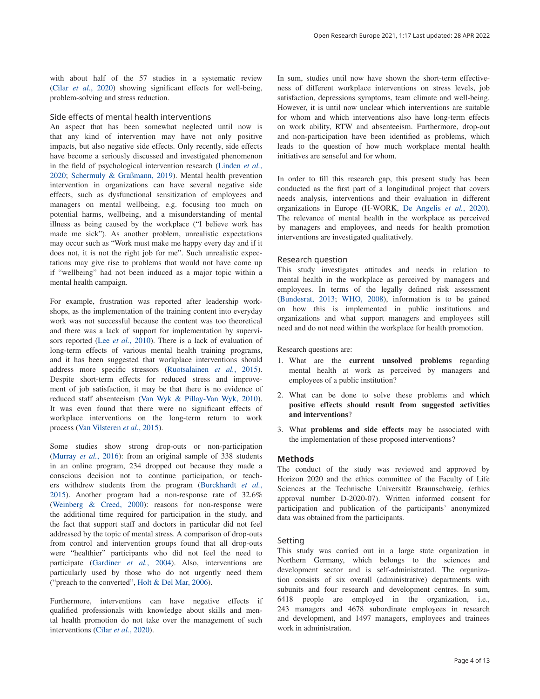with about half of the 57 studies in a systematic review (Cilar *et al.*[, 2020](#page-9-0)) showing significant effects for well-being, problem-solving and stress reduction.

# Side effects of mental health interventions

An aspect that has been somewhat neglected until now is that any kind of intervention may have not only positive impacts, but also negative side effects. Only recently, side effects have become a seriously discussed and investigated phenomenon in the field of psychological intervention research ([Linden](#page-9-0) *et al.*, [2020;](#page-9-0) [Schermuly & Graßmann, 2019\)](#page-9-0). Mental health prevention intervention in organizations can have several negative side effects, such as dysfunctional sensitization of employees and managers on mental wellbeing, e.g. focusing too much on potential harms, wellbeing, and a misunderstanding of mental illness as being caused by the workplace ("I believe work has made me sick"). As another problem, unrealistic expectations may occur such as "Work must make me happy every day and if it does not, it is not the right job for me". Such unrealistic expectations may give rise to problems that would not have come up if "wellbeing" had not been induced as a major topic within a mental health campaign.

For example, frustration was reported after leadership workshops, as the implementation of the training content into everyday work was not successful because the content was too theoretical and there was a lack of support for implementation by supervisors reported (Lee *et al.*[, 2010\)](#page-9-0). There is a lack of evaluation of long-term effects of various mental health training programs, and it has been suggested that workplace interventions should address more specific stressors ([Ruotsalainen](#page-9-0) *et al.*, 2015). Despite short-term effects for reduced stress and improvement of job satisfaction, it may be that there is no evidence of reduced staff absenteeism ([Van Wyk & Pillay-Van Wyk, 2010](#page-10-0)). It was even found that there were no significant effects of workplace interventions on the long-term return to work process ([Van Vilsteren](#page-10-0) *et al.*, 2015).

Some studies show strong drop-outs or non-participation ([Murray](#page-9-0) *et al.*, 2016): from an original sample of 338 students in an online program, 234 dropped out because they made a conscious decision not to continue participation, or teachers withdrew students from the program [\(Burckhardt](#page-9-0) *et al.*, [2015\)](#page-9-0). Another program had a non-response rate of 32.6% ([Weinberg & Creed, 2000\)](#page-10-0): reasons for non-response were the additional time required for participation in the study, and the fact that support staff and doctors in particular did not feel addressed by the topic of mental stress. A comparison of drop-outs from control and intervention groups found that all drop-outs were "healthier" participants who did not feel the need to participate ([Gardiner](#page-9-0) *et al.*, 2004). Also, interventions are particularly used by those who do not urgently need them ("preach to the converted", [Holt & Del Mar, 2006\)](#page-9-0).

Furthermore, interventions can have negative effects if qualified professionals with knowledge about skills and mental health promotion do not take over the management of such interventions (Cilar *et al.*[, 2020\)](#page-9-0).

In sum, studies until now have shown the short-term effectiveness of different workplace interventions on stress levels, job satisfaction, depressions symptoms, team climate and well-being. However, it is until now unclear which interventions are suitable for whom and which interventions also have long-term effects on work ability, RTW and absenteeism. Furthermore, drop-out and non-participation have been identified as problems, which leads to the question of how much workplace mental health initiatives are senseful and for whom.

In order to fill this research gap, this present study has been conducted as the first part of a longitudinal project that covers needs analysis, interventions and their evaluation in different organizations in Europe (H-WORK, [De Angelis](#page-9-0) *et al.*, 2020). The relevance of mental health in the workplace as perceived by managers and employees, and needs for health promotion interventions are investigated qualitatively.

#### Research question

This study investigates attitudes and needs in relation to mental health in the workplace as perceived by managers and employees. In terms of the legally defined risk assessment ([Bundesrat, 2013;](#page-9-0) [WHO, 2008\)](#page-10-0), information is to be gained on how this is implemented in public institutions and organizations and what support managers and employees still need and do not need within the workplace for health promotion.

Research questions are:

- 1. What are the **current unsolved problems** regarding mental health at work as perceived by managers and employees of a public institution?
- 2. What can be done to solve these problems and **which positive effects should result from suggested activities and interventions**?
- 3. What **problems and side effects** may be associated with the implementation of these proposed interventions?

#### **Methods**

The conduct of the study was reviewed and approved by Horizon 2020 and the ethics committee of the Faculty of Life Sciences at the Technische Universität Braunschweig, (ethics approval number D-2020-07). Written informed consent for participation and publication of the participants' anonymized data was obtained from the participants.

# Setting

This study was carried out in a large state organization in Northern Germany, which belongs to the sciences and development sector and is self-administrated. The organization consists of six overall (administrative) departments with subunits and four research and development centres. In sum, 6418 people are employed in the organization, i.e., 243 managers and 4678 subordinate employees in research and development, and 1497 managers, employees and trainees work in administration.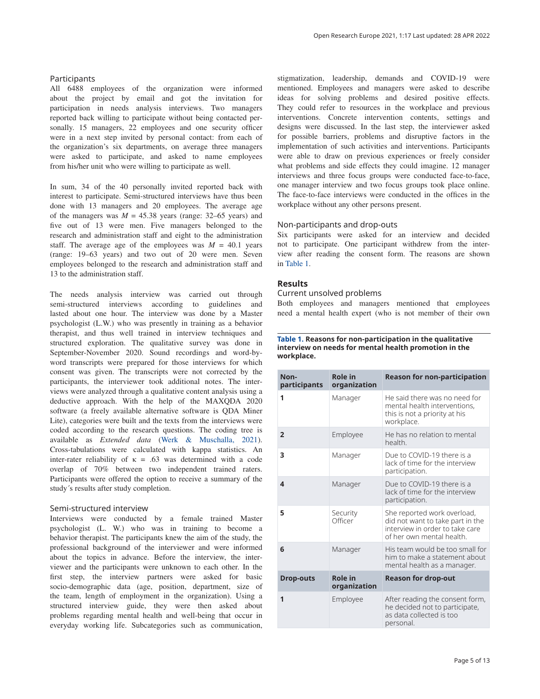All 6488 employees of the organization were informed about the project by email and got the invitation for participation in needs analysis interviews. Two managers reported back willing to participate without being contacted personally. 15 managers, 22 employees and one security officer were in a next step invited by personal contact: from each of the organization's six departments, on average three managers were asked to participate, and asked to name employees

In sum, 34 of the 40 personally invited reported back with interest to participate. Semi-structured interviews have thus been done with 13 managers and 20 employees. The average age of the managers was  $M = 45.38$  years (range: 32–65 years) and five out of 13 were men. Five managers belonged to the research and administration staff and eight to the administration staff. The average age of the employees was  $M = 40.1$  years (range: 19–63 years) and two out of 20 were men. Seven employees belonged to the research and administration staff and 13 to the administration staff.

from his/her unit who were willing to participate as well.

The needs analysis interview was carried out through semi-structured interviews according to guidelines and lasted about one hour. The interview was done by a Master psychologist (L.W.) who was presently in training as a behavior therapist, and thus well trained in interview techniques and structured exploration. The qualitative survey was done in September-November 2020. Sound recordings and word-byword transcripts were prepared for those interviews for which consent was given. The transcripts were not corrected by the participants, the interviewer took additional notes. The interviews were analyzed through a qualitative content analysis using a deductive approach. With the help of the MAXQDA 2020 software (a freely available alternative software is QDA Miner Lite), categories were built and the texts from the interviews were coded according to the research questions. The coding tree is available as *Extended data* ([Werk & Muschalla, 2021](#page-10-0)). Cross-tabulations were calculated with kappa statistics. An inter-rater reliability of  $\kappa = .63$  was determined with a code overlap of 70% between two independent trained raters. Participants were offered the option to receive a summary of the study´s results after study completion.

### Semi-structured interview

Interviews were conducted by a female trained Master psychologist (L. W.) who was in training to become a behavior therapist. The participants knew the aim of the study, the professional background of the interviewer and were informed about the topics in advance. Before the interview, the interviewer and the participants were unknown to each other. In the first step, the interview partners were asked for basic socio-demographic data (age, position, department, size of the team, length of employment in the organization). Using a structured interview guide, they were then asked about problems regarding mental health and well-being that occur in everyday working life. Subcategories such as communication,

stigmatization, leadership, demands and COVID-19 were mentioned. Employees and managers were asked to describe ideas for solving problems and desired positive effects. They could refer to resources in the workplace and previous interventions. Concrete intervention contents, settings and designs were discussed. In the last step, the interviewer asked for possible barriers, problems and disruptive factors in the implementation of such activities and interventions. Participants were able to draw on previous experiences or freely consider what problems and side effects they could imagine. 12 manager interviews and three focus groups were conducted face-to-face, one manager interview and two focus groups took place online. The face-to-face interviews were conducted in the offices in the workplace without any other persons present.

# Non-participants and drop-outs

Six participants were asked for an interview and decided not to participate. One participant withdrew from the interview after reading the consent form. The reasons are shown in Table 1.

# **Results**

# Current unsolved problems

Both employees and managers mentioned that employees need a mental health expert (who is not member of their own

#### **Table 1. Reasons for non-participation in the qualitative interview on needs for mental health promotion in the workplace.**

| Non-<br>participants | <b>Role in</b><br>organization | <b>Reason for non-participation</b>                                                                                             |  |  |  |  |
|----------------------|--------------------------------|---------------------------------------------------------------------------------------------------------------------------------|--|--|--|--|
| 1                    | Manager                        | He said there was no need for<br>mental health interventions,<br>this is not a priority at his<br>workplace.                    |  |  |  |  |
| $\overline{2}$       | Employee                       | He has no relation to mental<br>health.                                                                                         |  |  |  |  |
| 3                    | Manager                        | Due to COVID-19 there is a<br>lack of time for the interview<br>participation.                                                  |  |  |  |  |
| 4                    | Manager                        | Due to COVID-19 there is a<br>lack of time for the interview<br>participation.                                                  |  |  |  |  |
| 5                    | Security<br>Officer            | She reported work overload,<br>did not want to take part in the<br>interview in order to take care<br>of her own mental health. |  |  |  |  |
| 6                    | Manager                        | His team would be too small for<br>him to make a statement about<br>mental health as a manager.                                 |  |  |  |  |
| <b>Drop-outs</b>     | <b>Role in</b><br>organization | <b>Reason for drop-out</b>                                                                                                      |  |  |  |  |
| 1                    | Employee                       | After reading the consent form,<br>he decided not to participate,<br>as data collected is too<br>personal.                      |  |  |  |  |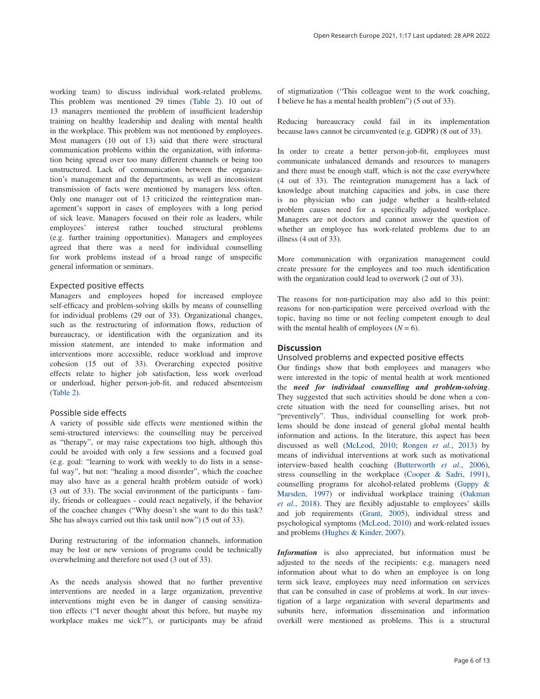working team) to discuss individual work-related problems. This problem was mentioned 29 times ([Table 2](#page-6-0)). 10 out of 13 managers mentioned the problem of insufficient leadership training on healthy leadership and dealing with mental health in the workplace. This problem was not mentioned by employees. Most managers (10 out of 13) said that there were structural communication problems within the organization, with information being spread over too many different channels or being too unstructured. Lack of communication between the organization's management and the departments, as well as inconsistent transmission of facts were mentioned by managers less often. Only one manager out of 13 criticized the reintegration management's support in cases of employees with a long period of sick leave. Managers focused on their role as leaders, while employees' interest rather touched structural problems (e.g. further training opportunities). Managers and employees agreed that there was a need for individual counselling for work problems instead of a broad range of unspecific general information or seminars.

### Expected positive effects

Managers and employees hoped for increased employee self-efficacy and problem-solving skills by means of counselling for individual problems (29 out of 33). Organizational changes, such as the restructuring of information flows, reduction of bureaucracy, or identification with the organization and its mission statement, are intended to make information and interventions more accessible, reduce workload and improve cohesion (15 out of 33). Overarching expected positive effects relate to higher job satisfaction, less work overload or underload, higher person-job-fit, and reduced absenteeism ([Table 2](#page-6-0)).

# Possible side effects

A variety of possible side effects were mentioned within the semi-structured interviews: the counselling may be perceived as "therapy", or may raise expectations too high, although this could be avoided with only a few sessions and a focused goal (e.g. goal: "learning to work with weekly to do lists in a senseful way", but not: "healing a mood disorder", which the coachee may also have as a general health problem outside of work) (3 out of 33). The social environment of the participants - family, friends or colleagues - could react negatively, if the behavior of the coachee changes ("Why doesn't she want to do this task? She has always carried out this task until now") (5 out of 33).

During restructuring of the information channels, information may be lost or new versions of programs could be technically overwhelming and therefore not used (3 out of 33).

As the needs analysis showed that no further preventive interventions are needed in a large organization, preventive interventions might even be in danger of causing sensitization effects ("I never thought about this before, but maybe my workplace makes me sick?"), or participants may be afraid of stigmatization ("This colleague went to the work coaching, I believe he has a mental health problem") (5 out of 33).

Reducing bureaucracy could fail in its implementation because laws cannot be circumvented (e.g. GDPR) (8 out of 33).

In order to create a better person-job-fit, employees must communicate unbalanced demands and resources to managers and there must be enough staff, which is not the case everywhere (4 out of 33). The reintegration management has a lack of knowledge about matching capacities and jobs, in case there is no physician who can judge whether a health-related problem causes need for a specifically adjusted workplace. Managers are not doctors and cannot answer the question of whether an employee has work-related problems due to an illness (4 out of 33).

More communication with organization management could create pressure for the employees and too much identification with the organization could lead to overwork (2 out of 33).

The reasons for non-participation may also add to this point: reasons for non-participation were perceived overload with the topic, having no time or not feeling competent enough to deal with the mental health of employees  $(N = 6)$ .

### **Discussion**

Unsolved problems and expected positive effects

Our findings show that both employees and managers who were interested in the topic of mental health at work mentioned the *need for individual counselling and problem-solving*. They suggested that such activities should be done when a concrete situation with the need for counselling arises, but not "preventively". Thus, individual counselling for work problems should be done instead of general global mental health information and actions. In the literature, this aspect has been discussed as well [\(McLeod, 2010;](#page-9-0) [Rongen](#page-9-0) *et al.*, 2013) by means of individual interventions at work such as motivational interview-based health coaching [\(Butterworth](#page-9-0) *et al.*, 2006), stress counselling in the workplace [\(Cooper & Sadri, 1991](#page-9-0)), counselling programs for alcohol-related problems ([Guppy &](#page-9-0)  [Marsden, 1997\)](#page-9-0) or individual workplace training [\(Oakman](#page-9-0)  *et al.*[, 2018\)](#page-9-0). They are flexibly adjustable to employees' skills and job requirements [\(Grant, 2005](#page-9-0)), individual stress and psychological symptoms [\(McLeod, 2010\)](#page-9-0) and work-related issues and problems ([Hughes & Kinder, 2007\)](#page-9-0).

*Information* is also appreciated, but information must be adjusted to the needs of the recipients: e.g. managers need information about what to do when an employee is on long term sick leave, employees may need information on services that can be consulted in case of problems at work. In our investigation of a large organization with several departments and subunits here, information dissemination and information overkill were mentioned as problems. This is a structural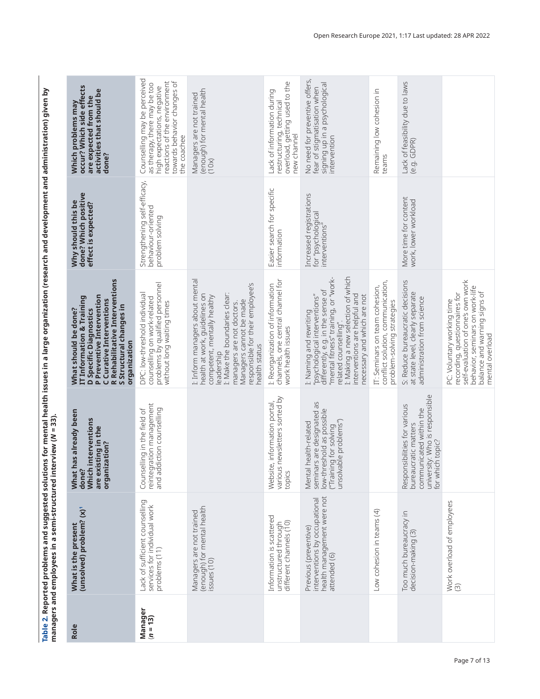<span id="page-6-0"></span>

|                                                                                                                                                                                                                                  | occur? Which side effects<br>are expected from the                |
|----------------------------------------------------------------------------------------------------------------------------------------------------------------------------------------------------------------------------------|-------------------------------------------------------------------|
|                                                                                                                                                                                                                                  | Which problems may                                                |
|                                                                                                                                                                                                                                  |                                                                   |
|                                                                                                                                                                                                                                  |                                                                   |
|                                                                                                                                                                                                                                  | Why should this be<br>done? Which positive<br>effect is expected? |
|                                                                                                                                                                                                                                  |                                                                   |
|                                                                                                                                                                                                                                  |                                                                   |
|                                                                                                                                                                                                                                  | IT Information & Training                                         |
|                                                                                                                                                                                                                                  | What should be done?<br><b>D</b> Specific Diagnostics             |
|                                                                                                                                                                                                                                  |                                                                   |
|                                                                                                                                                                                                                                  |                                                                   |
|                                                                                                                                                                                                                                  | What has already been<br>done?<br>Which interventions             |
|                                                                                                                                                                                                                                  |                                                                   |
|                                                                                                                                                                                                                                  |                                                                   |
|                                                                                                                                                                                                                                  |                                                                   |
|                                                                                                                                                                                                                                  |                                                                   |
| Table 2. Reported problems and suggested solutions for mental health issues in a large organization (research and development and administration) given by<br>managers and employees in a semi-structured interview ( $N$ = 33). | unsolved) problem? (x)<br>What is the present                     |
|                                                                                                                                                                                                                                  |                                                                   |
|                                                                                                                                                                                                                                  | Role                                                              |

| Role                  | (unsolved) problem? (x)<br>What is the present                                                       | What has already been<br>Which interventions<br>are existing in the<br>organization?<br>done?                                         | R Rehabilitative Interventions<br>P Preventive Intervention<br>IT Information & Training<br>C Curative Interventions<br>S Structural changes in<br>What should be done?<br><b>D</b> Specific Diagnostics<br>organization                                             | done? Which positive<br>Why should this be<br>effect is expected?     | occur? Which side effects<br>activities that should be<br>are expected from the<br>Which problems may<br>done?                                                            |
|-----------------------|------------------------------------------------------------------------------------------------------|---------------------------------------------------------------------------------------------------------------------------------------|----------------------------------------------------------------------------------------------------------------------------------------------------------------------------------------------------------------------------------------------------------------------|-----------------------------------------------------------------------|---------------------------------------------------------------------------------------------------------------------------------------------------------------------------|
| Manager<br>$(n = 13)$ | Lack of sufficient counselling<br>services for individual work<br>problems (11)                      | reintegration management<br>Counselling in the field of<br>and addiction counselling                                                  | problems by qualified personnel<br>without long waiting times<br>DPC: low-threshold individual<br>counselling on work-related                                                                                                                                        | Strengthening self-efficacy,<br>behaviour-oriented<br>problem solving | Counselling may be perceived<br>reactions of the environment<br>towards behavior changes of<br>as therapy, there may be too<br>high expectations, negative<br>the coachee |
|                       | (enough) for mental health<br>Managers are not trained<br>issues (10)                                |                                                                                                                                       | I: Inform managers about mental<br>responsible for their employee's<br>health at work, guidelines on<br>I: Make the boundaries clear:<br>competent, mentally healthy<br>Managers cannot be made<br>managers are not doctors.<br>health status<br>leadership          |                                                                       | (enough) for mental health<br>Managers are not trained<br>(10x)                                                                                                           |
|                       | Information is scattered<br>different channels (10)<br>unstructured through                          | various newsletters sorted by<br>information portal,<br>Website<br>topics                                                             | channels, one central channel for<br>I: Reorganization of information<br>work health issues                                                                                                                                                                          | Easier search for specific<br>information                             | overload, getting used to the<br>Lack of information during<br>restructuring, technical<br>new channel                                                                    |
|                       | health management were not<br>interventions by occupational<br>Previous (preventive)<br>attended (6) | seminars are designated as<br>low-threshold as possible<br>("Training for solving<br>unsolvable problems")<br>Mental health-related   | L: Making a new selection of which<br>"mental fitness" training, or "work-<br>differently, e.g. in the sense of<br>interventions are helpful and<br>necessary and which are not<br>"psychological interventions"<br>I: Naming and rewriting<br>related counselling". | Increased registrations<br>for "psychological<br>interventions"       | No need for preventive offers,<br>signing up in a psychological<br>fear of stigmatisation when<br>intervention                                                            |
|                       | Low cohesion in teams (4)                                                                            |                                                                                                                                       | conflict solution, communication,<br>IT: Seminars on team cohesion,<br>problem-solving strategies                                                                                                                                                                    |                                                                       | Remaining low cohesion in<br>teams                                                                                                                                        |
|                       | Too much bureaucracy in<br>decision-making (3)                                                       | university: Who is responsible<br>Responsibilities for various<br>communicated within the<br>bureaucratic matters<br>for which topic? | S: Reduce bureaucratic decisions<br>at state level, clearly separate<br>administration from science                                                                                                                                                                  | More time for content<br>work, lower workload                         | Lack of feasibility due to laws<br>(e.g. GDPR)                                                                                                                            |
|                       | Work overload of employees<br>$\widehat{\mathcal{O}}$                                                |                                                                                                                                       | self-evaluation of one's own work<br>behavior, seminars on work-life<br>balance and warning signs of<br>recording, questionnaires for<br>PC: Voluntary working time<br>mental overload                                                                               |                                                                       |                                                                                                                                                                           |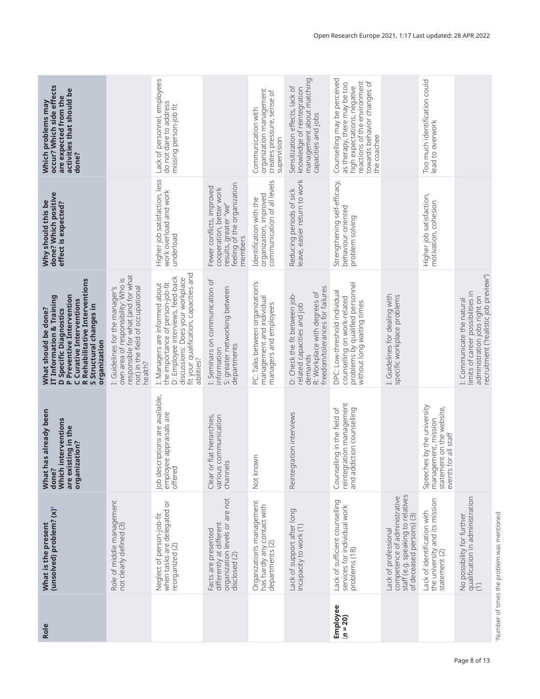<span id="page-7-0"></span>

| occur? Which side effects<br>activities that should be<br>are expected from the<br>Which problems may<br>done?                                                                                                                              |                                                                                                                                                             | Lack of personnel, employees<br>do not dare to address<br>missing person-job fit                                                                                                                    |                                                                                                                          | organization management<br>creates pressure, sense of<br>Communication with<br>supervision | management about matching<br>Sensitization effects, lack of<br>knowledge of reintegration<br>capacities and jobs                          | Counselling may be perceived<br>reactions of the environment<br>towards behavior changes of<br>as therapy, there may be too<br>high expectations, negative<br>the coachee |                                                                                                                                                | Too much identification could<br>lead to overwork                                                         |                                                                                                                                          |
|---------------------------------------------------------------------------------------------------------------------------------------------------------------------------------------------------------------------------------------------|-------------------------------------------------------------------------------------------------------------------------------------------------------------|-----------------------------------------------------------------------------------------------------------------------------------------------------------------------------------------------------|--------------------------------------------------------------------------------------------------------------------------|--------------------------------------------------------------------------------------------|-------------------------------------------------------------------------------------------------------------------------------------------|---------------------------------------------------------------------------------------------------------------------------------------------------------------------------|------------------------------------------------------------------------------------------------------------------------------------------------|-----------------------------------------------------------------------------------------------------------|------------------------------------------------------------------------------------------------------------------------------------------|
| done? Which positive<br>Why should this be<br>effect is expected?                                                                                                                                                                           |                                                                                                                                                             | Higher job satisfaction, less<br>work overload and work<br>underload                                                                                                                                | results, greater "we"<br>feeling of the organization<br>Fewer conflicts, improved<br>cooperation, better work<br>members | communication of all levels<br>organization, improved<br>Identification with the           | leave, easier return to work<br>Reducing periods of sick                                                                                  | Strengthening self-efficacy,<br>behaviour-oriented<br>problem solving                                                                                                     |                                                                                                                                                | Higher job satisfaction,<br>motivation, cohesion                                                          |                                                                                                                                          |
| Rehabilitative Interventions<br><b>IT Information &amp; Training</b><br>P Preventive Intervention<br>C Curative Interventions<br>S Structural changes in<br>What should be done?<br><b>D</b> Specific Diagnostics<br>organization<br>$\sim$ | responsible for what (and for what<br>not) in the field of occupational<br>own area of responsibility: Who is<br>I: Guidelines for the manager's<br>health? | fit your qualification, capacities and<br>D: Employee interviews, feed-back<br>discussions: Does your workplace<br>the importance of person-job-fit<br>I: Managers are informed about<br>abilities? | I: Seminars on communication of<br>S: greater networking between<br>departments<br>information                           | PC: Talks between organization's<br>management and individual<br>managers and employees    | freedom/tolerances for failures<br>R: Workplace with degrees of<br>D: Check the fit between job-<br>related capacities and job<br>demands | problems by qualified personnel<br>DPC: Low-threshold individual<br>counselling on work-related<br>without long waiting times                                             | I: Guidelines for dealing with<br>specific workplace problems                                                                                  |                                                                                                           | recruitment ("realistic job preview")<br>limits of career possibilities in<br>administration jobs right on<br>I: Communicate the natural |
| has already been<br>Which interventions<br>are existing in the<br>organization?<br>done?<br>What                                                                                                                                            |                                                                                                                                                             | Job descriptions are available,<br>employee appraisals are<br>offered                                                                                                                               | Clear or flat hierarchies,<br>various communication<br>channels                                                          | Not known                                                                                  | Reintegration interviews                                                                                                                  | reintegration management<br>Counselling in the field of<br>and addiction counselling                                                                                      |                                                                                                                                                | Speeches by the university<br>statement on the website,<br>management, mission<br>for all staff<br>events |                                                                                                                                          |
| (unsolved) problem? (x)'<br>What is the present                                                                                                                                                                                             | Role of middle management<br>not clearly defined (3)                                                                                                        | when tasks are delegated or<br>Neglect of person-job-fit<br>reorganized (2)                                                                                                                         | organization levels or are not<br>differently at different<br>Facts are presented<br>disclosed (2)                       | Organization's management<br>has hardly any contact with<br>departments <sup>(2)</sup>     | Lack of support after long<br>incapacity to work (1)                                                                                      | Lack of sufficient counselling<br>services for individual work<br>problems (18)                                                                                           | staff (e.g. speaking to relatives<br>competence of administrative<br>$\textcircled{\small{?}}$<br>of deceased persons)<br>Lack of professional | the university and its mission<br>Lack of identification with<br>statement (2)                            | qualification in administration<br>(1)<br>No possibility for further                                                                     |
| Role                                                                                                                                                                                                                                        |                                                                                                                                                             |                                                                                                                                                                                                     |                                                                                                                          |                                                                                            |                                                                                                                                           | Employee<br>$(n = 20)$                                                                                                                                                    |                                                                                                                                                |                                                                                                           |                                                                                                                                          |

'Number of times the problem was mentioned 1Number of times the problem was mentioned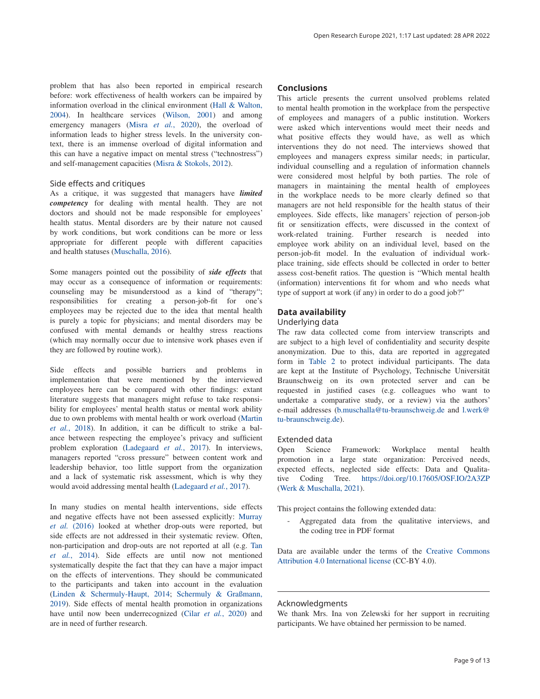problem that has also been reported in empirical research before: work effectiveness of health workers can be impaired by information overload in the clinical environment [\(Hall & Walton,](#page-9-0)  [2004\)](#page-9-0). In healthcare services ([Wilson, 2001](#page-10-0)) and among emergency managers (Misra *et al.*[, 2020](#page-9-0)), the overload of information leads to higher stress levels. In the university context, there is an immense overload of digital information and this can have a negative impact on mental stress ("technostress") and self-management capacities ([Misra & Stokols, 2012\)](#page-9-0).

### Side effects and critiques

As a critique, it was suggested that managers have *limited competency* for dealing with mental health. They are not doctors and should not be made responsible for employees' health status. Mental disorders are by their nature not caused by work conditions, but work conditions can be more or less appropriate for different people with different capacities and health statuses [\(Muschalla, 2016](#page-9-0)).

Some managers pointed out the possibility of *side effects* that may occur as a consequence of information or requirements: counseling may be misunderstood as a kind of "therapy"; responsibilities for creating a person-job-fit for one's employees may be rejected due to the idea that mental health is purely a topic for physicians; and mental disorders may be confused with mental demands or healthy stress reactions (which may normally occur due to intensive work phases even if they are followed by routine work).

Side effects and possible barriers and problems in implementation that were mentioned by the interviewed employees here can be compared with other findings: extant literature suggests that managers might refuse to take responsibility for employees' mental health status or mental work ability due to own problems with mental health or work overload [\(Martin](#page-9-0)  *et al.*[, 2018\)](#page-9-0). In addition, it can be difficult to strike a balance between respecting the employee's privacy and sufficient problem exploration [\(Ladegaard](#page-9-0) *et al.*, 2017). In interviews, managers reported "cross pressure" between content work and leadership behavior, too little support from the organization and a lack of systematic risk assessment, which is why they would avoid addressing mental health ([Ladegaard](#page-9-0) *et al.*, 2017).

In many studies on mental health interventions, side effects and negative effects have not been assessed explicitly: [Murray](#page-9-0)  *et al.* [\(2016\)](#page-9-0) looked at whether drop-outs were reported, but side effects are not addressed in their systematic review. Often, non-participation and drop-outs are not reported at all (e.g. [Tan](#page-9-0)  *et al.*[, 2014\)](#page-9-0). Side effects are until now not mentioned systematically despite the fact that they can have a major impact on the effects of interventions. They should be communicated to the participants and taken into account in the evaluation ([Linden & Schermuly-Haupt, 2014;](#page-9-0) [Schermuly & Graßmann,](#page-10-0)  [2019\)](#page-10-0). Side effects of mental health promotion in organizations have until now been underrecognized (Cilar *et al.*[, 2020\)](#page-9-0) and are in need of further research.

### **Conclusions**

This article presents the current unsolved problems related to mental health promotion in the workplace from the perspective of employees and managers of a public institution. Workers were asked which interventions would meet their needs and what positive effects they would have, as well as which interventions they do not need. The interviews showed that employees and managers express similar needs; in particular, individual counselling and a regulation of information channels were considered most helpful by both parties. The role of managers in maintaining the mental health of employees in the workplace needs to be more clearly defined so that managers are not held responsible for the health status of their employees. Side effects, like managers' rejection of person-job fit or sensitization effects, were discussed in the context of work-related training. Further research is needed into employee work ability on an individual level, based on the person-job-fit model. In the evaluation of individual workplace training, side effects should be collected in order to better assess cost-benefit ratios. The question is "Which mental health (information) interventions fit for whom and who needs what type of support at work (if any) in order to do a good job?"

# **Data availability**

### Underlying data

The raw data collected come from interview transcripts and are subject to a high level of confidentiality and security despite anonymization. Due to this, data are reported in aggregated form in [Table 2](#page-6-0) to protect individual participants. The data are kept at the Institute of Psychology, Technische Universität Braunschweig on its own protected server and can be requested in justified cases (e.g. colleagues who want to undertake a comparative study, or a review) via the authors' e-mail addresses [\(b.muschalla@tu-braunschweig.de](mailto:b.muschalla@tu-braunschweig.de) and [l.werk@](mailto:l.werk@tu-braunschweig.de) [tu-braunschweig.de](mailto:l.werk@tu-braunschweig.de)).

#### Extended data

Open Science Framework: Workplace mental health promotion in a large state organization: Perceived needs, expected effects, neglected side effects: Data and Qualitative Coding Tree. <https://doi.org/10.17605/OSF.IO/2A3ZP> ([Werk & Muschalla, 2021](#page-10-0)).

This project contains the following extended data:

- Aggregated data from the qualitative interviews, and the coding tree in PDF format

Data are available under the terms of the [Creative Commons](https://creativecommons.org/licenses/by/4.0/legalcode)  [Attribution 4.0 International license](https://creativecommons.org/licenses/by/4.0/) (CC-BY 4.0).

### Acknowledgments

We thank Mrs. Ina von Zelewski for her support in recruiting participants. We have obtained her permission to be named.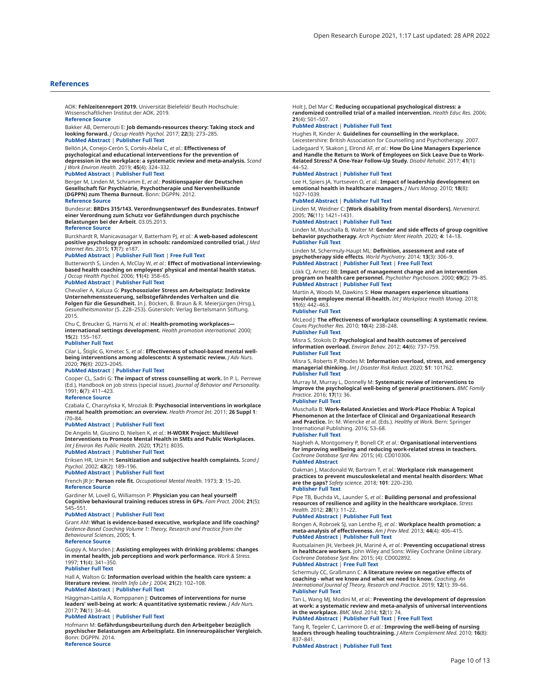#### <span id="page-9-0"></span>**References**

AOK: **Fehlzeitenreport 2019.** Universität Bielefeld/ Beuth Hochschule: Wissenschaftlichen Institut der AOK. 2019. **[Reference Source](https://www.aok-bv.de/presse/medienservice/ratgeber/index_22687.html)**

Bakker AB, Demerouti E: **Job demands-resources theory: Taking stock and looking forward.** *J Occup Health Psychol.* 2017; **22**(3): 273–285. **[PubMed Abstract](http://www.ncbi.nlm.nih.gov/pubmed/27732008)** | **[Publisher Full Text](http://dx.doi.org/10.1037/ocp0000056)**

### Bellón JA, Conejo-Cerón S, Cortés-Abela C, *et al.*: **Effectiveness of psychological and educational interventions for the prevention of depression in the workplace: a systematic review and meta-analysis.** *Scand J Work Environ Health.* 2019; **45**(4): 324–332.

#### **[PubMed Abstract](http://www.ncbi.nlm.nih.gov/pubmed/30500058)** | **[Publisher Full Text](http://dx.doi.org/10.5271/sjweh.3791)**

Berger M, Linden M, Schramm E, *et al.*: **Positionspapier der Deutschen Gesellschaft für Psychiatrie, Psychotherapie und Nervenheilkunde (DGPPN) zum Thema Burnout.** Bonn: DGPPN. 2012. **[Reference Source](http://docplayer.org/16972080-Burnout-positionspapier-der-deutschen-gesellschaft-fuer-psychiatrie-psychotherapie-und-nervenheilkunde-dgppn-zum-thema.html)**

Bundesrat: **BRDrs 315/143. Verordnungsentwurf des Bundesrates. Entwurf**<br>einer Verordnung zum Schutz vor Gefährdungen durch psychische<br>**Belastungen bei der Arbeit**. 03.05.2013. **[Reference Source](http://www.ergonassist.de/Publikationen/Psych.Belastung_Bundesrat_Entwurf_VO_31513.pdf)**

Burckhardt R, Manicavasagar V, Batterham PJ, *et al.*: **A web-based adolescent positive psychology program in schools: randomized controlled trial.** *J Med Internet Res.* 2015; **17**(7): e187.

#### **[PubMed Abstract](http://www.ncbi.nlm.nih.gov/pubmed/26220564)** | **[Publisher Full Text](http://dx.doi.org/10.2196/jmir.4329)** | **[Free Full Text](http://www.ncbi.nlm.nih.gov/pmc/articles/4705364)**

Butterworth S, Linden A, McClay W, *et al.*: **Effect of motivational interviewingbased health coaching on employees' physical and mental health status.** *J Occup Health Psychol.* 2006; **11**(4): 358–65.

# **[PubMed Abstract](http://www.ncbi.nlm.nih.gov/pubmed/17059299)** | **[Publisher Full Text](http://dx.doi.org/10.1037/1076-8998.11.4.358)**

Chevalier A, Kaluza G: **Psychosozialer Stress am Arbeitsplatz: Indirekte Unternehmenssteuerung, selbstgefährdendes Verhalten und die Folgen für die Gesundheit.** In J. Böcken, B. Braun & R. Meierjürgen (Hrsg.), *Gesundheitsmonitor* (S. 228–253). Gütersloh: Verlag Bertelsmann Stiftung. 2015.

Chu C, Breucker G, Harris N, *et al.*: **Health-promoting workplaces international settings development.** *Health promotion international.* 2000; **15**(2): 155–167.

#### **[Publisher Full Text](http://dx.doi.org/10.1093/heapro/15.2.155)**

Cilar L, Štiglic G, Kmetec S, *et al.*: **Effectiveness of school-based mental wellbeing interventions among adolescents: A systematic review.** *J Adv Nurs.* 2020; **76**(8): 2023–2045.

#### **[PubMed Abstract](http://www.ncbi.nlm.nih.gov/pubmed/32363607)** | **[Publisher Full Text](http://dx.doi.org/10.1111/jan.14408)**

Cooper CL, Sadri G: **The impact of stress counselling at work.** In P. L. Perrewe (Ed.), Handbook on job stress (special issue). *Journal of Behavior and Personality.* 1991; **6**(7): 411–423.

#### **[Reference Source](https://psycnet.apa.org/record/1992-03498-001)**

Czabała C, Charzyńska K, Mroziak B: **Psychosocial interventions in workplace mental health promotion: an overview.** *Health Promot Int.* 2011; **26 Suppl 1**: i70–84.

#### **[PubMed Abstract](http://www.ncbi.nlm.nih.gov/pubmed/22079937)** | **[Publisher Full Text](http://dx.doi.org/10.1093/heapro/dar050)**

De Angelis M, Giusino D, Nielsen K, *et al.*: **H-WORK Project: Multilevel Interventions to Promote Mental Health in SMEs and Public Workplaces.** *Int J Environ Res Public Health.* 2020; **17**(21): 8035.

#### **[PubMed Abstract](http://www.ncbi.nlm.nih.gov/pubmed/33142745)** | **[Publisher Full Text](http://dx.doi.org/10.3390/ijerph17218035)**

Eriksen HR, Ursin H: **Sensitization and subjective health complaints.** *Scand J Psychol.* 2002; **43**(2): 189–196.

#### **[PubMed Abstract](http://www.ncbi.nlm.nih.gov/pubmed/12004958)** | **[Publisher Full Text](http://dx.doi.org/10.1111/1467-9450.00286)**

French JR Jr: **Person role fit.** *Occupational Mental Health.* 1973; **3**: 15–20. **[Reference Source](https://eric.ed.gov/?id=EJ080430)**

Gardiner M, Lovell G, Williamson P: **Physician you can heal yourself! Cognitive behavioural training reduces stress in GPs.** *Fam Pract.* 2004; **21**(5): 545–551.

#### **[PubMed Abstract](http://www.ncbi.nlm.nih.gov/pubmed/15367477)** | **[Publisher Full Text](http://dx.doi.org/10.1093/fampra/cmh511)**

Grant AM: **What is evidence-based executive, workplace and life coaching?** *Evidence-Based Coaching Volume 1: Theory, Research and Practice from the Behavioural Sciences*, 2005; **1**. **[Reference Source](https://search.informit.org/doi/abs/10.3316/informit.042761113263166)**

Guppy A, Marsden J: **Assisting employees with drinking problems: changes in mental health, job perceptions and work performance.** *Work & Stress.* 1997; **11**(4): 341–350.

#### **[Publisher Full Text](http://dx.doi.org/10.1080/02678379708252997)**

Hall A, Walton G: **Information overload within the health care system: a literature review.** *Health Info Libr J.* 2004; **21**(2): 102–108. **[PubMed Abstract](http://www.ncbi.nlm.nih.gov/pubmed/15191601)** | **[Publisher Full Text](http://dx.doi.org/10.1111/j.1471-1842.2004.00506.x)**

Häggman‐Laitila A, Romppanen J: **Outcomes of interventions for nurse leaders' well-being at work: A quantitative systematic review.** *J Adv Nurs.* 2017; **74**(1): 34–44.

#### **[PubMed Abstract](http://www.ncbi.nlm.nih.gov/pubmed/28771775)** | **[Publisher Full Text](http://dx.doi.org/10.1111/jan.13406)**

Hofmann M: **Gefährdungsbeurteilung durch den Arbeitgeber bezüglich psychischer Belastungen am Arbeitsplatz. Ein innereuropäischer Vergleich.** Bonn: DGPPN. 2014.

**[Reference Source](https://docplayer.org/80463-Gefaehrdungsbeurteilung-durch-den-arbeitgeber-bezueglich-psychischer-belastungen-am-arbeitsplatz-ein-innereuropaeischer-vergleich.html)**

Holt J, Del Mar C: **Reducing occupational psychological distress: a randomized controlled trial of a mailed intervention.** *Health Educ Res.* 2006; **21**(4): 501–507.

#### **[PubMed Abstract](http://www.ncbi.nlm.nih.gov/pubmed/16436459)** | **[Publisher Full Text](http://dx.doi.org/10.1093/her/cyh076)**

Hughes R, Kinder A: **Guidelines for counselling in the workplace.**

Leicestershire: British Association for Counselling and Psychotherapy. 2007. Ladegaard Y, Skakon J, Elrond AF, *et al.*: **How Do Line Managers Experience and Handle the Return to Work of Employees on Sick Leave Due to Work-Related Stress? A One-Year Follow-Up Study.** *Disabil Rehabil.* 2017; **41**(1): 44–52.

#### **[PubMed Abstract](http://www.ncbi.nlm.nih.gov/pubmed/28845715)** | **[Publisher Full Text](http://dx.doi.org/10.1080/09638288.2017.1370733)**

Lee H, Spiers JA, Yurtseven O, *et al.*: **Impact of leadership development on emotional health in healthcare managers.** *J Nurs Manag.* 2010; **18**(8): 1027–1039.

#### **[PubMed Abstract](http://www.ncbi.nlm.nih.gov/pubmed/21073574)** | **[Publisher Full Text](http://dx.doi.org/10.1111/j.1365-2834.2010.01178.x)**

Linden M, Weidner C: **[Work disability from mental disorders].** *Nervenarzt.* 2005; **76**(11): 1421–1431.

#### **[PubMed Abstract](http://www.ncbi.nlm.nih.gov/pubmed/16261300)** | **[Publisher Full Text](http://dx.doi.org/10.1007/s00115-005-1996-4)**

Linden M, Muschalla B, Walter M: **Gender and side effects of group cognitive behavior psychotherapy.** *Arch Psychiatr Ment Health.* 2020; **4**: 14–18. **[Publisher Full Text](http://dx.doi.org/10.29328/journal.apmh.1001012)**

Linden M, Schermuly-Haupt ML: **Definition, assessment and rate of**<br>**psychotherapy side effects.** W*orld Psychiatry.* 2014; 13(3): 306–9.<br>[PubMed Abstract](http://www.ncbi.nlm.nih.gov/pubmed/25273304) | [Publisher Full Text](http://dx.doi.org/10.1002/wps.20153) | [Free Full Text](http://www.ncbi.nlm.nih.gov/pmc/articles/4219072)

Lökk CJ, Arnetz BB: **Impact of management change and an intervention program on health care personnel.** *Psychother Psychosom.* 2000; **69**(2): 79–85. **[PubMed Abstract](http://www.ncbi.nlm.nih.gov/pubmed/10671828)** | **[Publisher Full Text](http://dx.doi.org/10.1159/000012370)**

Martin A, Woods M, Dawkins S: **How managers experience situations involving employee mental ill-health.** *Int J Workplace Health Manag.* 2018; **11**(6): 442–463.

#### **[Publisher Full Text](http://dx.doi.org/10.1108/IJWHM-09-2017-0069)**

McLeod J: **The effectiveness of workplace counselling: A systematic review.** *Couns Psychother Res.* 2010; **10**(4): 238–248. **[Publisher Full Text](http://dx.doi.org/10.1080/14733145.2010.485688)**

Misra S, Stokols D: **Psychological and health outcomes of perceived information overload.** *Environ Behav.* 2012; **44**(6): 737–759. **[Publisher Full Text](http://dx.doi.org/10.1177/0013916511404408)**

Misra S, Roberts P, Rhodes M: **Information overload, stress, and emergency managerial thinking.** *Int J Disaster Risk Reduct.* 2020; **51**: 101762. **[Publisher Full Text](http://dx.doi.org/10.1016/j.ijdrr.2020.101762)**

Murray M, Murray L, Donnelly M: **Systematic review of interventions to improve the psychological well-being of general practitioners.** *BMC Family Practice.* 2016; **17**(1): 36.

#### **[Publisher Full Text](http://dx.doi.org/10.1186/s12875-016-0431-1)**

Muschalla B: **Work-Related Anxieties and Work-Place Phobia: A Topical Phenomenon at the Interface of Clinical and Organizational Research and Practice.** In: M. Wiencke *et al.* (Eds.). *Healthy at Work.* Bern: Springer International Publishing. 2016; 53–68.

#### **[Publisher Full Text](http://dx.doi.org/10.1007/978-3-319-32331-2_5)**

Naghieh A, Montgomery P, Bonell CP, *et al.*: **Organisational interventions for improving wellbeing and reducing work-related stress in teachers.** *Cochrane Database Syst Rev.* 2015; (4): CD010306. **[PubMed Abstract](http://www.ncbi.nlm.nih.gov/pubmed/25851427)**

Oakman J, Macdonald W, Bartram T, *et al.*: **Workplace risk management practices to prevent musculoskeletal and mental health disorders: What are the gaps?** *Safety science.* 2018; **101**: 220–230. **[Publisher Full Text](http://dx.doi.org/10.1016/j.ssci.2017.09.004)**

Pipe TB, Buchda VL, Launder S, *et al.*: **Building personal and professional resources of resilience and agility in the healthcare workplace.** *Stress Health.* 2012; **28**(1): 11–22.

#### **[PubMed Abstract](http://www.ncbi.nlm.nih.gov/pubmed/22259154)** | **[Publisher Full Text](http://dx.doi.org/10.1002/smi.1396)**

Rongen A, Robroek SJ, van Lenthe FJ, *et al.*: **Workplace health promotion: a meta-analysis of effectiveness.** *Am J Prev Med.* 2013; **44**(4): 406–415. **[PubMed Abstract](http://www.ncbi.nlm.nih.gov/pubmed/23498108)** | **[Publisher Full Text](http://dx.doi.org/10.1016/j.amepre.2012.12.007)**

Ruotsalainen JH, Verbeek JH, Mariné A, *et al.*: **Preventing occupational stress in healthcare workers.** John Wiley and Sons: Wiley Cochrane Online Library. *Cochrane Database Syst Rev.* 2015; (4): CD002892. **[PubMed Abstract](http://www.ncbi.nlm.nih.gov/pubmed/25847433)** | **[Free Full Text](http://www.ncbi.nlm.nih.gov/pmc/articles/6718215)**

Schermuly CC, Graßmann C: **A literature review on negative effects of coaching - what we know and what we need to know.** *Coaching. An International Journal of Theory, Research and Practice.* 2019; **12**(1): 39–66. **[Publisher Full Text](http://dx.doi.org/10.1080/17521882.2018.1528621)**

Tan L, Wang MJ, Modini M, *et al.*: **Preventing the development of depression at work: a systematic review and meta-analysis of universal interventions in the workplace.** *BMC Med.* 2014; **12**(1): 74. **[PubMed Abstract](http://www.ncbi.nlm.nih.gov/pubmed/24886246)** | **[Publisher Full Text](http://dx.doi.org/10.1186/1741-7015-12-74)** | **[Free Full Text](http://www.ncbi.nlm.nih.gov/pmc/articles/4014627)**

# Tang R, Tegeler C, Larrimore D, *et al.*: **Improving the well-being of nursing**

**leaders through healing touchtraining.** *J Altern Complement Med.* 2010; **16**(8): 837–841.

**[PubMed Abstract](http://www.ncbi.nlm.nih.gov/pubmed/20624103)** | **[Publisher Full Text](http://dx.doi.org/10.1089/acm.2009.0558)**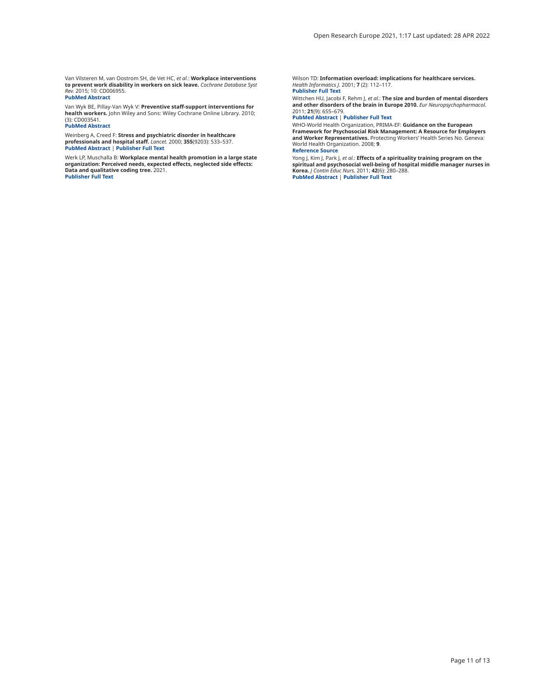<span id="page-10-0"></span>Van Vilsteren M, van Oostrom SH, de Vet HC, *et al.*: **Workplace interventions to prevent work disability in workers on sick leave.** *Cochrane Database Syst Rev.* 2015; 10: CD006955. **[PubMed Abstract](http://www.ncbi.nlm.nih.gov/pubmed/26436959)**

Van Wyk BE, Pillay-Van Wyk V: **Preventive staff-support interventions for health workers.** John Wiley and Sons: Wiley Cochrane Online Library. 2010; (3): CD003541. **[PubMed Abstract](http://www.ncbi.nlm.nih.gov/pubmed/20238322)**

Weinberg A, Creed F: **Stress and psychiatric disorder in healthcare professionals and hospital staff.** *Lancet.* 2000; **355**(9203): 533–537. **[PubMed Abstract](http://www.ncbi.nlm.nih.gov/pubmed/10683003)** | **[Publisher Full Text](http://dx.doi.org/10.1016/S0140-6736(99)07366-3)**

Werk LP, Muschalla B: **Workplace mental health promotion in a large state organization: Perceived needs, expected effects, neglected side effects: Data and qualitative coding tree.** 2021. **[Publisher Full Text](http://dx.doi.org/10.17605/OSF.IO/2A3ZP)**

Wilson TD: **Information overload: implications for healthcare services.** *Health Informatics J.* 2001; **7** (2): 112–117. **[Publisher Full Text](http://dx.doi.org/10.1177/146045820100700210)**

Wittchen HU, Jacobi F, Rehm J, *et al.*: **The size and burden of mental disorders and other disorders of the brain in Europe 2010.** *Eur Neuropsychopharmacol.* 2011; **21**(9): 655–679.

#### **[PubMed Abstract](http://www.ncbi.nlm.nih.gov/pubmed/21896369)** | **[Publisher Full Text](http://dx.doi.org/10.1016/j.euroneuro.2011.07.018)**

WHO-World Health Organization, PRIMA-EF: **Guidance on the European**<br>**Framework for Psychosocial Risk Management: A Resource for Employers<br><b>and Worker Representatives.** Protecting Workers' Health Series No. Geneva: World Health Organization. 2008; **9**. **[Reference Source](https://www.who.int/occupational_health/publications/PRIMA-EF Guidance_9.pdf)**

Yong J, Kim J, Park J, *et al.*: **Effects of a spirituality training program on the spiritual and psychosocial well-being of hospital middle manager nurses in Korea.** *J Contin Educ Nurs.* 2011; **42**(6): 280–288. **[PubMed Abstract](http://www.ncbi.nlm.nih.gov/pubmed/21162467)** | **[Publisher Full Text](http://dx.doi.org/10.3928/00220124-20101201-04)**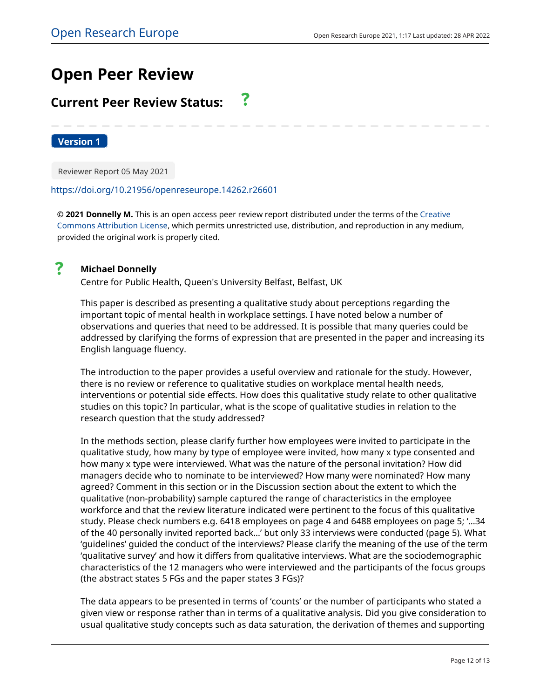# **Open Peer Review**

#### 7 **Current Peer Review Status:**

**Version 1**

Reviewer Report 05 May 2021

# <https://doi.org/10.21956/openreseurope.14262.r26601>

**© 2021 Donnelly M.** This is an open access peer review report distributed under the terms of the [Creative](https://creativecommons.org/licenses/by/4.0/) [Commons Attribution License](https://creativecommons.org/licenses/by/4.0/), which permits unrestricted use, distribution, and reproduction in any medium, provided the original work is properly cited.



# **Michael Donnelly**

Centre for Public Health, Queen's University Belfast, Belfast, UK

This paper is described as presenting a qualitative study about perceptions regarding the important topic of mental health in workplace settings. I have noted below a number of observations and queries that need to be addressed. It is possible that many queries could be addressed by clarifying the forms of expression that are presented in the paper and increasing its English language fluency.

The introduction to the paper provides a useful overview and rationale for the study. However, there is no review or reference to qualitative studies on workplace mental health needs, interventions or potential side effects. How does this qualitative study relate to other qualitative studies on this topic? In particular, what is the scope of qualitative studies in relation to the research question that the study addressed?

In the methods section, please clarify further how employees were invited to participate in the qualitative study, how many by type of employee were invited, how many x type consented and how many x type were interviewed. What was the nature of the personal invitation? How did managers decide who to nominate to be interviewed? How many were nominated? How many agreed? Comment in this section or in the Discussion section about the extent to which the qualitative (non-probability) sample captured the range of characteristics in the employee workforce and that the review literature indicated were pertinent to the focus of this qualitative study. Please check numbers e.g. 6418 employees on page 4 and 6488 employees on page 5; '…34 of the 40 personally invited reported back…' but only 33 interviews were conducted (page 5). What 'guidelines' guided the conduct of the interviews? Please clarify the meaning of the use of the term 'qualitative survey' and how it differs from qualitative interviews. What are the sociodemographic characteristics of the 12 managers who were interviewed and the participants of the focus groups (the abstract states 5 FGs and the paper states 3 FGs)?

The data appears to be presented in terms of 'counts' or the number of participants who stated a given view or response rather than in terms of a qualitative analysis. Did you give consideration to usual qualitative study concepts such as data saturation, the derivation of themes and supporting